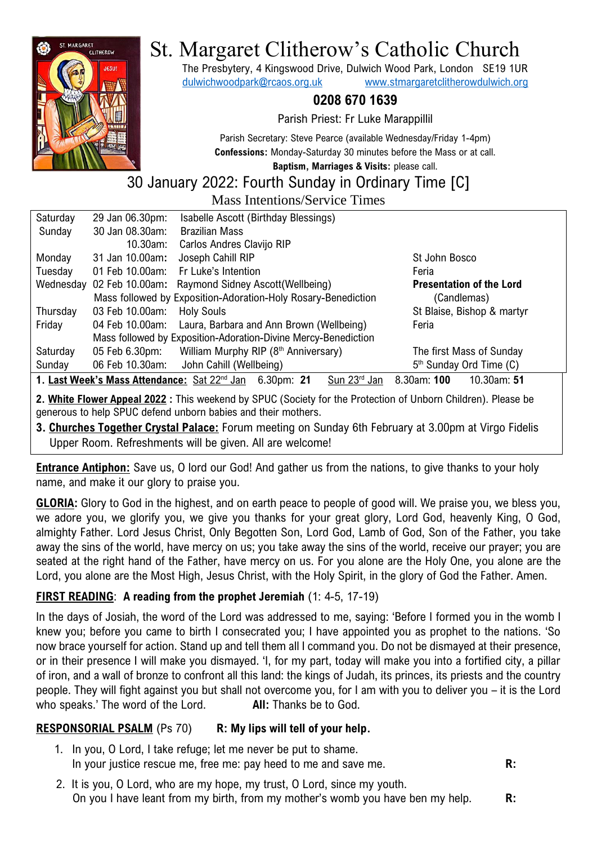

# St. Margaret Clitherow's Catholic Church

The Presbytery, 4 Kingswood Drive, Dulwich Wood Park, London SE19 1UR [dulwichwoodpark@rcaos.org.uk](mailto:dulwichwoodpark@rcaos.org.uk) [www.stmargaretclitherowdulwich.org](http://www.stmargaretclitherowdulwich.org/)

## **0208 670 1639**

Parish Priest: Fr Luke Marappillil

Parish Secretary: Steve Pearce (available Wednesday/Friday 1-4pm) **Confessions:** Monday-Saturday 30 minutes before the Mass or at call.

**Baptism, Marriages & Visits:** please call. 30 January 2022: Fourth Sunday in Ordinary Time [C]

Mass Intentions/Service Times

| Saturday                                                                                                             | 29 Jan 06.30pm:                                                | Isabelle Ascott (Birthday Blessings)                          |                                     |
|----------------------------------------------------------------------------------------------------------------------|----------------------------------------------------------------|---------------------------------------------------------------|-------------------------------------|
| Sunday                                                                                                               | 30 Jan 08,30am:                                                | <b>Brazilian Mass</b>                                         |                                     |
|                                                                                                                      | 10.30am:                                                       | Carlos Andres Clavijo RIP                                     |                                     |
| Monday                                                                                                               | 31 Jan 10.00am:                                                | Joseph Cahill RIP                                             | St John Bosco                       |
| Tuesday                                                                                                              | 01 Feb 10.00am:                                                | Fr Luke's Intention                                           | Feria                               |
| Wednesday                                                                                                            | 02 Feb 10.00am:                                                | Raymond Sidney Ascott (Wellbeing)                             | <b>Presentation of the Lord</b>     |
|                                                                                                                      |                                                                | Mass followed by Exposition-Adoration-Holy Rosary-Benediction | (Candlemas)                         |
| Thursday                                                                                                             | 03 Feb 10.00am:                                                | <b>Holy Souls</b>                                             | St Blaise, Bishop & martyr          |
| Friday                                                                                                               |                                                                | 04 Feb 10.00am: Laura, Barbara and Ann Brown (Wellbeing)      | Feria                               |
|                                                                                                                      | Mass followed by Exposition-Adoration-Divine Mercy-Benediction |                                                               |                                     |
| Saturday                                                                                                             | 05 Feb 6.30pm:                                                 | William Murphy RIP (8th Anniversary)                          | The first Mass of Sunday            |
| Sunday                                                                                                               | 06 Feb 10.30am:                                                | John Cahill (Wellbeing)                                       | 5 <sup>th</sup> Sunday Ord Time (C) |
| 1. Last Week's Mass Attendance: Sat 22 <sup>nd</sup> Jan<br>Sun 23rd Jan<br>8.30am: 100<br>10.30am: 51<br>6.30pm: 21 |                                                                |                                                               |                                     |

**2. White Flower Appeal 2022 :** This weekend by SPUC (Society for the Protection of Unborn Children). Please be generous to help SPUC defend unborn babies and their mothers.

**3. Churches Together Crystal Palace:** Forum meeting on Sunday 6th February at 3.00pm at Virgo Fidelis Upper Room. Refreshments will be given. All are welcome!

**Entrance Antiphon:** Save us, O lord our God! And gather us from the nations, to give thanks to your holy name, and make it our glory to praise you.

**GLORIA:** Glory to God in the highest, and on earth peace to people of good will. We praise you, we bless you, we adore you, we glorify you, we give you thanks for your great glory, Lord God, heavenly King, O God, almighty Father. Lord Jesus Christ, Only Begotten Son, Lord God, Lamb of God, Son of the Father, you take away the sins of the world, have mercy on us; you take away the sins of the world, receive our prayer; you are seated at the right hand of the Father, have mercy on us. For you alone are the Holy One, you alone are the Lord, you alone are the Most High, Jesus Christ, with the Holy Spirit, in the glory of God the Father. Amen.

# **FIRST READING**: **A reading from the prophet Jeremiah** (1: 4-5, 17-19)

In the days of Josiah, the word of the Lord was addressed to me, saying: 'Before I formed you in the womb I knew you; before you came to birth I consecrated you; I have appointed you as prophet to the nations. 'So now brace yourself for action. Stand up and tell them all I command you. Do not be dismayed at their presence, or in their presence I will make you dismayed. 'I, for my part, today will make you into a fortified city, a pillar of iron, and a wall of bronze to confront all this land: the kings of Judah, its princes, its priests and the country people. They will fight against you but shall not overcome you, for I am with you to deliver you – it is the Lord who speaks.' The word of the Lord. **All:** Thanks be to God.

# **RESPONSORIAL PSALM** (Ps 70) **R: My lips will tell of your help.**

- 1. In you, O Lord, I take refuge; let me never be put to shame. In your justice rescue me, free me: pay heed to me and save me. **R:**
- 2. It is you, O Lord, who are my hope, my trust, O Lord, since my youth. On you I have leant from my birth, from my mother's womb you have ben my help. **R:**